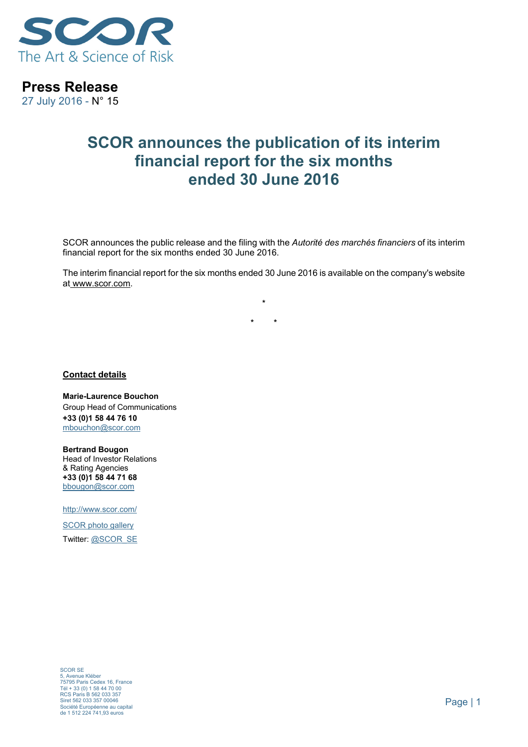

**Press Release** 

27 July 2016 - N° 15

## **SCOR announces the publication of its interim financial report for the six months ended 30 June 2016**

SCOR announces the public release and the filing with the *Autorité des marchés financiers* of its interim financial report for the six months ended 30 June 2016.

The interim financial report for the six months ended 30 June 2016 is available on the company's website at www.scor.com.

> **\* \* \***

**Contact details** 

**Marie-Laurence Bouchon** Group Head of Communications **+33 (0)1 58 44 76 10** mbouchon@scor.com

**Bertrand Bougon**  Head of Investor Relations & Rating Agencies **+33 (0)1 58 44 71 68**  bbougon@scor.com

http://www.scor.com/

SCOR photo gallery Twitter: @SCOR\_SE